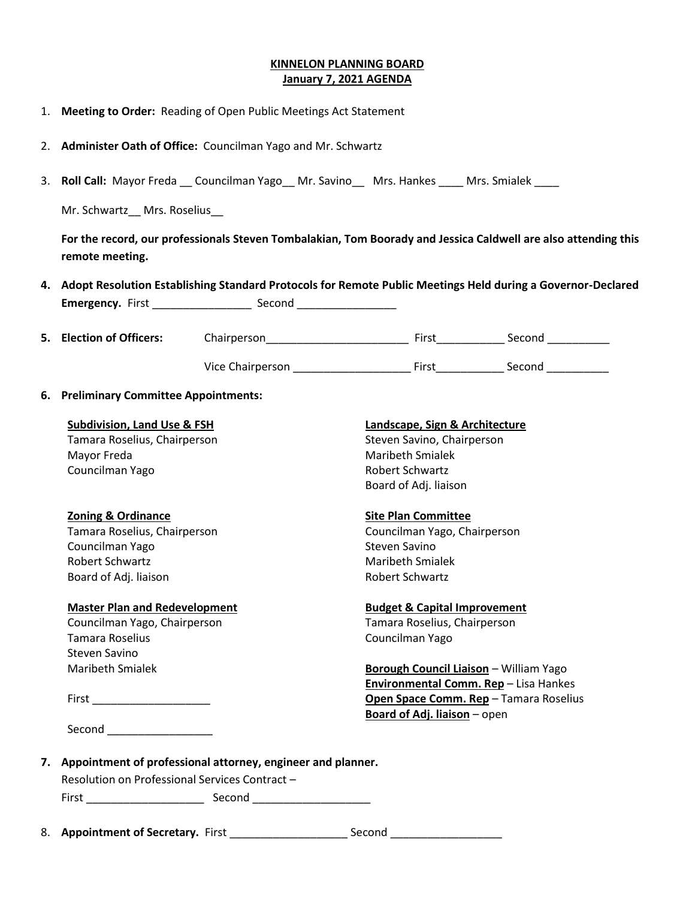## **KINNELON PLANNING BOARD January 7, 2021 AGENDA**

- 1. **Meeting to Order:** Reading of Open Public Meetings Act Statement
- 2. **Administer Oath of Office:** Councilman Yago and Mr. Schwartz
- 3. **Roll Call:** Mayor Freda Councilman Yago \_\_ Mr. Savino \_\_ Mrs. Hankes \_\_\_\_ Mrs. Smialek \_\_\_\_

Mr. Schwartz\_\_ Mrs. Roselius\_\_

**For the record, our professionals Steven Tombalakian, Tom Boorady and Jessica Caldwell are also attending this remote meeting.**

|                         | 4. Adopt Resolution Establishing Standard Protocols for Remote Public Meetings Held during a Governor-Declared |
|-------------------------|----------------------------------------------------------------------------------------------------------------|
| <b>Emergency.</b> First | Second                                                                                                         |

| 5. Election of Officers: | Chairperson      | First | Second |
|--------------------------|------------------|-------|--------|
|                          | Vice Chairperson | First | Second |

## **6. Preliminary Committee Appointments:**

| <b>Subdivision, Land Use &amp; FSH</b>                                                                          | Landscape, Sign & Architecture          |
|-----------------------------------------------------------------------------------------------------------------|-----------------------------------------|
| Tamara Roselius, Chairperson                                                                                    | Steven Savino, Chairperson              |
| Mayor Freda                                                                                                     | <b>Maribeth Smialek</b>                 |
| Councilman Yago                                                                                                 | <b>Robert Schwartz</b>                  |
|                                                                                                                 | Board of Adj. liaison                   |
| <b>Zoning &amp; Ordinance</b>                                                                                   | <b>Site Plan Committee</b>              |
| Tamara Roselius, Chairperson                                                                                    | Councilman Yago, Chairperson            |
| Councilman Yago                                                                                                 | Steven Savino                           |
| <b>Robert Schwartz</b>                                                                                          | <b>Maribeth Smialek</b>                 |
| Board of Adj. liaison                                                                                           | <b>Robert Schwartz</b>                  |
| <b>Master Plan and Redevelopment</b>                                                                            | <b>Budget &amp; Capital Improvement</b> |
| Councilman Yago, Chairperson                                                                                    | Tamara Roselius, Chairperson            |
| <b>Tamara Roselius</b>                                                                                          | Councilman Yago                         |
| Steven Savino                                                                                                   |                                         |
| <b>Maribeth Smialek</b>                                                                                         | Borough Council Liaison - William Yago  |
|                                                                                                                 | Environmental Comm. Rep - Lisa Hankes   |
| First Party and Party and Party and Party and Party and Party and Party and Party and Party and Party and Party | Open Space Comm. Rep - Tamara Roselius  |
|                                                                                                                 | <b>Board of Adj. liaison</b> – open     |
| Second ________________                                                                                         |                                         |

Resolution on Professional Services Contract –

First \_\_\_\_\_\_\_\_\_\_\_\_\_\_\_\_\_\_\_ Second \_\_\_\_\_\_\_\_\_\_\_\_\_\_\_\_\_\_\_

8. **Appointment of Secretary.** First \_\_\_\_\_\_\_\_\_\_\_\_\_\_\_\_\_\_\_ Second \_\_\_\_\_\_\_\_\_\_\_\_\_\_\_\_\_\_